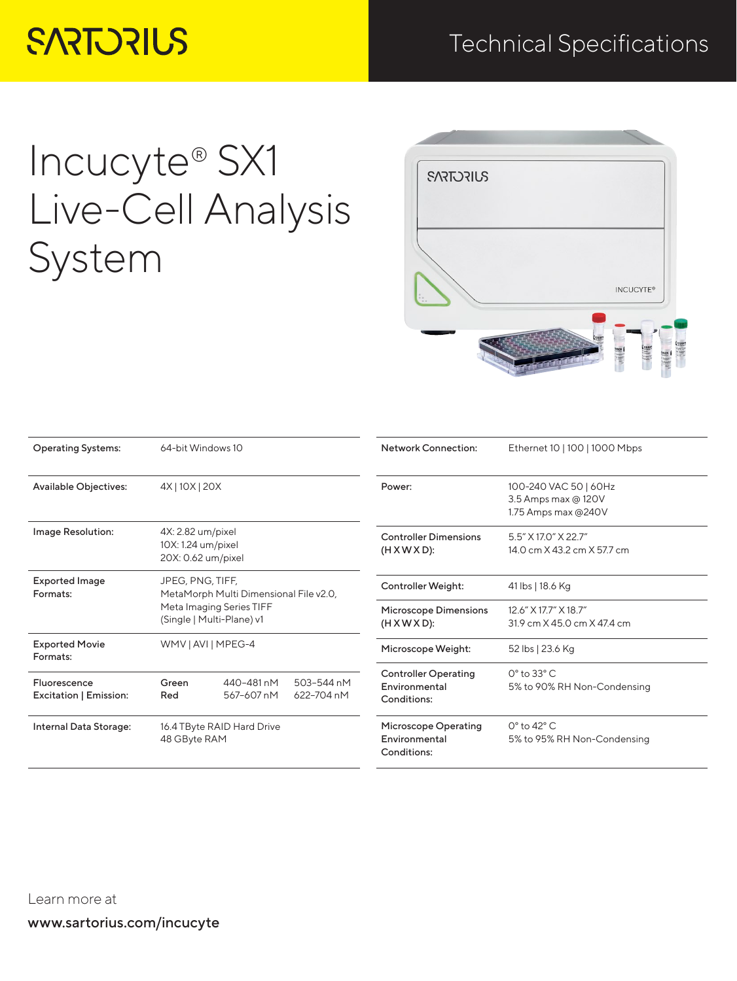## **SARTORIUS**

## Technical Specifications

# Incucyte® SX1 Live-Cell Analysis System

| <b>SARTORIUS</b> |                                            |
|------------------|--------------------------------------------|
|                  |                                            |
|                  | <b>INCUCYTE®</b>                           |
|                  | <b>SESSE</b><br><b>ISSE</b><br><b>ISEN</b> |

| <b>Operating Systems:</b>              | 64-bit Windows 10                                             |                                                       | <b>Network Connection:</b>                                  | Ethernet 10   100   1000 Mbps                               |                                                                     |
|----------------------------------------|---------------------------------------------------------------|-------------------------------------------------------|-------------------------------------------------------------|-------------------------------------------------------------|---------------------------------------------------------------------|
| <b>Available Objectives:</b>           | 4X   10X   20X                                                |                                                       |                                                             | Power:                                                      | 100-240 VAC 50   60Hz<br>3.5 Amps max @ 120V<br>1.75 Amps max @240V |
| Image Resolution:                      | 4X: 2.82 um/pixel<br>10X: 1.24 um/pixel<br>20X: 0.62 um/pixel |                                                       | <b>Controller Dimensions</b><br>$(H X W X D)$ :             | 5.5" X 17.0" X 22.7"<br>14.0 cm X 43.2 cm X 57.7 cm         |                                                                     |
| <b>Exported Image</b><br>Formats:      | JPEG, PNG, TIFF,<br>MetaMorph Multi Dimensional File v2.0,    |                                                       | Controller Weight:                                          | 41 lbs   18.6 Kg                                            |                                                                     |
|                                        |                                                               | Meta Imaging Series TIFF<br>(Single   Multi-Plane) v1 |                                                             | <b>Microscope Dimensions</b><br>$(H X W X D)$ :             | 12.6" X 17.7" X 18.7"<br>31.9 cm X 45.0 cm X 47.4 cm                |
| <b>Exported Movie</b><br>Formats:      | WMV   AVI   MPEG-4                                            |                                                       |                                                             | Microscope Weight:                                          | 52 lbs   23.6 Kg                                                    |
| Fluorescence<br>Excitation   Emission: | Green<br>Red                                                  | 440-481 nM<br>567-607 nM                              | 503-544 nM<br>622-704 nM                                    | <b>Controller Operating</b><br>Environmental<br>Conditions: | $0^\circ$ to 33 $^\circ$ C<br>5% to 90% RH Non-Condensing           |
| Internal Data Storage:                 | 16.4 TByte RAID Hard Drive<br>48 GByte RAM                    |                                                       | <b>Microscope Operating</b><br>Environmental<br>Conditions: | $0^\circ$ to 42 $^\circ$ C<br>5% to 95% RH Non-Condensing   |                                                                     |

www.sartorius.com/incucyte